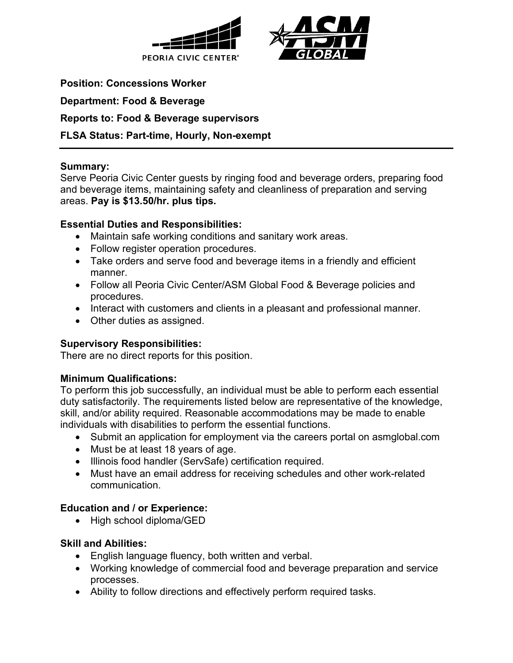



**Position: Concessions Worker**

**Department: Food & Beverage**

**Reports to: Food & Beverage supervisors**

## **FLSA Status: Part-time, Hourly, Non-exempt**

#### **Summary:**

Serve Peoria Civic Center guests by ringing food and beverage orders, preparing food and beverage items, maintaining safety and cleanliness of preparation and serving areas. **Pay is \$13.50/hr. plus tips.**

### **Essential Duties and Responsibilities:**

- Maintain safe working conditions and sanitary work areas.
- Follow register operation procedures.
- Take orders and serve food and beverage items in a friendly and efficient manner.
- Follow all Peoria Civic Center/ASM Global Food & Beverage policies and procedures.
- Interact with customers and clients in a pleasant and professional manner.
- Other duties as assigned.

### **Supervisory Responsibilities:**

There are no direct reports for this position.

### **Minimum Qualifications:**

To perform this job successfully, an individual must be able to perform each essential duty satisfactorily. The requirements listed below are representative of the knowledge, skill, and/or ability required. Reasonable accommodations may be made to enable individuals with disabilities to perform the essential functions.

- Submit an application for employment via the careers portal on asmglobal.com
- Must be at least 18 years of age.
- Illinois food handler (ServSafe) certification required.
- Must have an email address for receiving schedules and other work-related communication.

### **Education and / or Experience:**

• High school diploma/GED

### **Skill and Abilities:**

- English language fluency, both written and verbal.
- Working knowledge of commercial food and beverage preparation and service processes.
- Ability to follow directions and effectively perform required tasks.